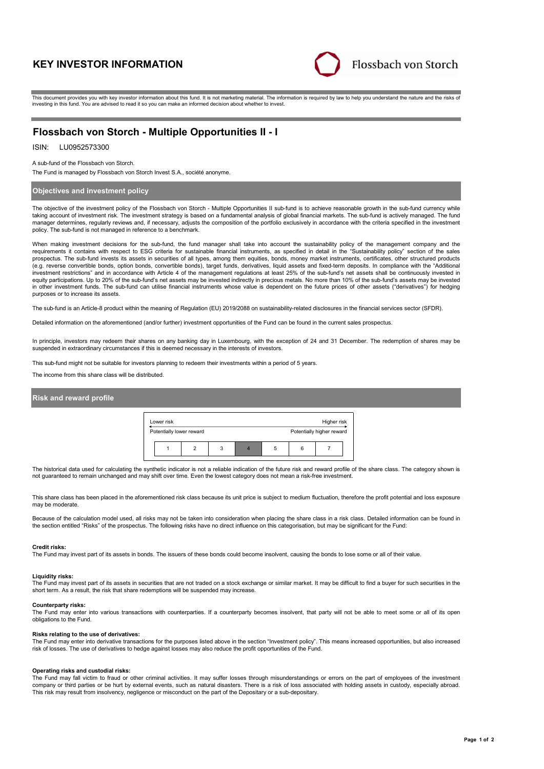# **KEY INVESTOR INFORMATION**



This document provides you with key investor information about this fund. It is not marketing material. The information is required by law to help you understand the nature and the risks of investing in this fund. You are advised to read it so you can make an informed decision about whether to invest.

# **Flossbach von Storch - Multiple Opportunities II - I**

## ISIN: LU0952573300

A sub-fund of the Flossbach von Storch.

The Fund is managed by Flossbach von Storch Invest S.A., société anonyme.

## **Objectives and investment policy**

The objective of the investment policy of the Flossbach von Storch - Multiple Opportunities II sub-fund is to achieve reasonable growth in the sub-fund currency while taking account of investment risk. The investment strategy is based on a fundamental analysis of global financial markets. The sub-fund is actively managed. The fund manager determines, regularly reviews and, if necessary, adjusts the composition of the portfolio exclusively in accordance with the criteria specified in the investment policy. The sub-fund is not managed in reference to a benchmark.

When making investment decisions for the sub-fund, the fund manager shall take into account the sustainability policy of the management company and the requirements it contains with respect to ESG criteria for sustainable financial instruments, as specified in detail in the "Sustainability policy" section of the sales prospectus. The sub-fund invests its assets in securities of all types, among them equities, bonds, money market instruments, certificates, other structured products (e.g. reverse convertible bonds, option bonds, convertible bonds), target funds, derivatives, liquid assets and fixed-term deposits. In compliance with the "Additional investment restrictions" and in accordance with Article 4 of the management regulations at least 25% of the sub-fund's net assets shall be continuously invested in equity participations. Up to 20% of the sub-fund's net assets may be invested indirectly in precious metals. No more than 10% of the sub-fund's assets may be invested in other investment funds. The sub-fund can utilise financial instruments whose value is dependent on the future prices of other assets ("derivatives") for hedging purposes or to increase its assets.

The sub-fund is an Article-8 product within the meaning of Regulation (EU) 2019/2088 on sustainability-related disclosures in the financial services sector (SFDR).

Detailed information on the aforementioned (and/or further) investment opportunities of the Fund can be found in the current sales prospectus.

In principle, investors may redeem their shares on any banking day in Luxembourg, with the exception of 24 and 31 December. The redemption of shares may be suspended in extraordinary circumstances if this is deemed necessary in the interests of investors.

This sub-fund might not be suitable for investors planning to redeem their investments within a period of 5 years.

The income from this share class will be distributed.

## **Risk and reward profile**

| Lower risk               | Higher risk |  |   |  |                           |  |
|--------------------------|-------------|--|---|--|---------------------------|--|
| Potentially lower reward |             |  |   |  | Potentially higher reward |  |
|                          | 3           |  | 5 |  |                           |  |

The historical data used for calculating the synthetic indicator is not a reliable indication of the future risk and reward profile of the share class. The category shown is not guaranteed to remain unchanged and may shift over time. Even the lowest category does not mean a risk-free investment.

This share class has been placed in the aforementioned risk class because its unit price is subject to medium fluctuation, therefore the profit potential and loss exposure may be moderate

Because of the calculation model used, all risks may not be taken into consideration when placing the share class in a risk class. Detailed information can be found in<br>the section entitled "Risks" of the prospectus. The fo

#### **Credit risks:**

The Fund may invest part of its assets in bonds. The issuers of these bonds could become insolvent, causing the bonds to lose some or all of their value.

## **Liquidity risks:**

The Fund may invest part of its assets in securities that are not traded on a stock exchange or similar market. It may be difficult to find a buyer for such securities in the short term. As a result, the risk that share redemptions will be suspended may increase.

# **Counterparty risks:**

The Fund may enter into various transactions with counterparties. If a counterparty becomes insolvent, that party will not be able to meet some or all of its open obligations to the Fund.

#### **Risks relating to the use of derivatives:**

The Fund may enter into derivative transactions for the purposes listed above in the section "Investment policy". This means increased opportunities, but also increased risk of losses. The use of derivatives to hedge against losses may also reduce the profit opportunities of the Fund.

#### **Operating risks and custodial risks:**

The Fund may fall victim to fraud or other criminal activities. It may suffer losses through misunderstandings or errors on the part of employees of the investment company or third parties or be hurt by external events, such as natural disasters. There is a risk of loss associated with holding assets in custody, especially abroad. This risk may result from insolvency, negligence or misconduct on the part of the Depositary or a sub-depositary.